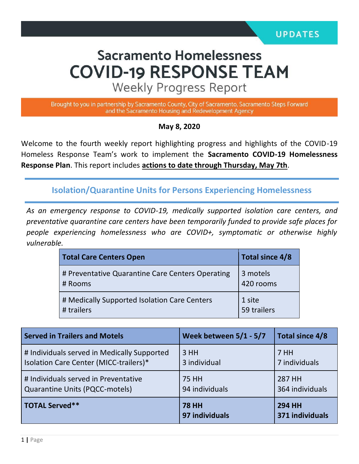# **Sacramento Homelessness COVID-19 RESPONSE TEAM**

**Weekly Progress Report** 

Brought to you in partnership by Sacramento County, City of Sacramento, Sacramento Steps Forward and the Sacramento Housing and Redevelopment Agency

#### **May 8, 2020**

Welcome to the fourth weekly report highlighting progress and highlights of the COVID-19 Homeless Response Team's work to implement the **Sacramento COVID-19 Homelessness Response Plan**. This report includes **actions to date through Thursday, May 7th**.

**Isolation/Quarantine Units for Persons Experiencing Homelessness**

*As an emergency response to COVID-19, medically supported isolation care centers, and preventative quarantine care centers have been temporarily funded to provide safe places for people experiencing homelessness who are COVID+, symptomatic or otherwise highly vulnerable.*

| <b>Total Care Centers Open</b>                              | Total since 4/8       |
|-------------------------------------------------------------|-----------------------|
| # Preventative Quarantine Care Centers Operating<br># Rooms | 3 motels<br>420 rooms |
| # Medically Supported Isolation Care Centers<br># trailers  | 1 site<br>59 trailers |

| <b>Served in Trailers and Motels</b>        | Week between $5/1 - 5/7$       | Total since 4/8                  |
|---------------------------------------------|--------------------------------|----------------------------------|
| # Individuals served in Medically Supported | 3HH                            | 7 HH                             |
| Isolation Care Center (MICC-trailers)*      | 3 individual                   | 7 individuals                    |
| # Individuals served in Preventative        | <b>75 HH</b>                   | 287 HH                           |
| <b>Quarantine Units (PQCC-motels)</b>       | 94 individuals                 | 364 individuals                  |
| <b>TOTAL Served**</b>                       | <b>78 HH</b><br>97 individuals | <b>294 HH</b><br>371 individuals |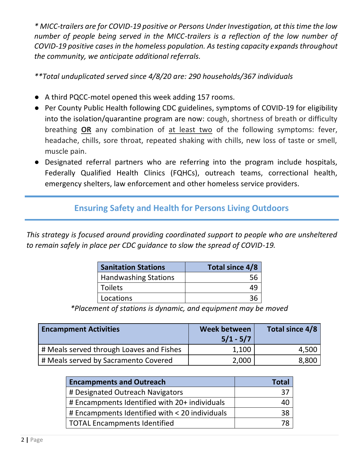*\* MICC-trailers are for COVID-19 positive or Persons Under Investigation, at this time the low number of people being served in the MICC-trailers is a reflection of the low number of COVID-19 positive cases in the homeless population. As testing capacity expands throughout the community, we anticipate additional referrals.*

*\*\*Total unduplicated served since 4/8/20 are: 290 households/367 individuals*

- A third PQCC-motel opened this week adding 157 rooms.
- Per County Public Health following CDC guidelines, symptoms of COVID-19 for eligibility into the isolation/quarantine program are now: cough, shortness of breath or difficulty breathing **OR** any combination of at least two of the following symptoms: fever, headache, chills, sore throat, repeated shaking with chills, new loss of taste or smell, muscle pain.
- Designated referral partners who are referring into the program include hospitals, Federally Qualified Health Clinics (FQHCs), outreach teams, correctional health, emergency shelters, law enforcement and other homeless service providers.

### **Ensuring Safety and Health for Persons Living Outdoors**

*This strategy is focused around providing coordinated support to people who are unsheltered to remain safely in place per CDC guidance to slow the spread of COVID-19.*

| <b>Sanitation Stations</b>  | Total since 4/8 |
|-----------------------------|-----------------|
| <b>Handwashing Stations</b> |                 |
| <b>Toilets</b>              | 49              |
| Locations                   |                 |

*\*Placement of stations is dynamic, and equipment may be moved*

| <b>Encampment Activities</b>             | Week between<br>$5/1 - 5/7$ | Total since 4/8 |
|------------------------------------------|-----------------------------|-----------------|
| # Meals served through Loaves and Fishes | 1,100                       | 4,500           |
| # Meals served by Sacramento Covered     | 2,000                       | 8,800           |

| <b>Encampments and Outreach</b>                | Total |
|------------------------------------------------|-------|
| # Designated Outreach Navigators               | 37    |
| # Encampments Identified with 20+ individuals  |       |
| # Encampments Identified with < 20 individuals | 38    |
| <b>TOTAL Encampments Identified</b>            |       |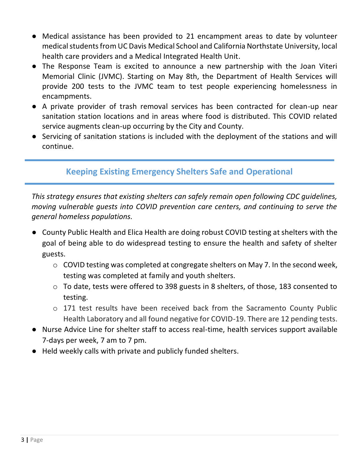- Medical assistance has been provided to 21 encampment areas to date by volunteer medical students from UC Davis Medical School and California Northstate University, local health care providers and a Medical Integrated Health Unit.
- The Response Team is excited to announce a new partnership with the Joan Viteri Memorial Clinic (JVMC). Starting on May 8th, the Department of Health Services will provide 200 tests to the JVMC team to test people experiencing homelessness in encampments.
- A private provider of trash removal services has been contracted for clean-up near sanitation station locations and in areas where food is distributed. This COVID related service augments clean-up occurring by the City and County.
- Servicing of sanitation stations is included with the deployment of the stations and will continue.

# **Keeping Existing Emergency Shelters Safe and Operational**

*This strategy ensures that existing shelters can safely remain open following CDC guidelines, moving vulnerable guests into COVID prevention care centers, and continuing to serve the general homeless populations.* 

- County Public Health and Elica Health are doing robust COVID testing at shelters with the goal of being able to do widespread testing to ensure the health and safety of shelter guests.
	- o COVID testing was completed at congregate shelters on May 7. In the second week, testing was completed at family and youth shelters.
	- o To date, tests were offered to 398 guests in 8 shelters, of those, 183 consented to testing.
	- o 171 test results have been received back from the Sacramento County Public Health Laboratory and all found negative for COVID-19. There are 12 pending tests.
- Nurse Advice Line for shelter staff to access real-time, health services support available 7-days per week, 7 am to 7 pm.
- Held weekly calls with private and publicly funded shelters.